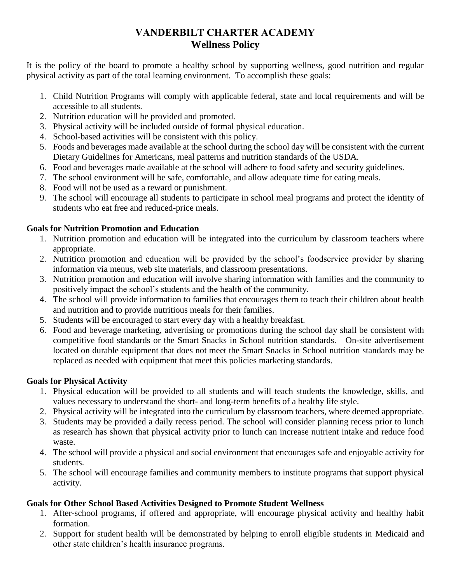# **VANDERBILT CHARTER ACADEMY Wellness Policy**

It is the policy of the board to promote a healthy school by supporting wellness, good nutrition and regular physical activity as part of the total learning environment. To accomplish these goals:

- 1. Child Nutrition Programs will comply with applicable federal, state and local requirements and will be accessible to all students.
- 2. Nutrition education will be provided and promoted.
- 3. Physical activity will be included outside of formal physical education.
- 4. School-based activities will be consistent with this policy.
- 5. Foods and beverages made available at the school during the school day will be consistent with the current Dietary Guidelines for Americans, meal patterns and nutrition standards of the USDA.
- 6. Food and beverages made available at the school will adhere to food safety and security guidelines.
- 7. The school environment will be safe, comfortable, and allow adequate time for eating meals.
- 8. Food will not be used as a reward or punishment.
- 9. The school will encourage all students to participate in school meal programs and protect the identity of students who eat free and reduced-price meals.

### **Goals for Nutrition Promotion and Education**

- 1. Nutrition promotion and education will be integrated into the curriculum by classroom teachers where appropriate.
- 2. Nutrition promotion and education will be provided by the school's foodservice provider by sharing information via menus, web site materials, and classroom presentations.
- 3. Nutrition promotion and education will involve sharing information with families and the community to positively impact the school's students and the health of the community.
- 4. The school will provide information to families that encourages them to teach their children about health and nutrition and to provide nutritious meals for their families.
- 5. Students will be encouraged to start every day with a healthy breakfast.
- 6. Food and beverage marketing, advertising or promotions during the school day shall be consistent with competitive food standards or the Smart Snacks in School nutrition standards. On-site advertisement located on durable equipment that does not meet the Smart Snacks in School nutrition standards may be replaced as needed with equipment that meet this policies marketing standards.

## **Goals for Physical Activity**

- 1. Physical education will be provided to all students and will teach students the knowledge, skills, and values necessary to understand the short- and long-term benefits of a healthy life style.
- 2. Physical activity will be integrated into the curriculum by classroom teachers, where deemed appropriate.
- 3. Students may be provided a daily recess period. The school will consider planning recess prior to lunch as research has shown that physical activity prior to lunch can increase nutrient intake and reduce food waste.
- 4. The school will provide a physical and social environment that encourages safe and enjoyable activity for students.
- 5. The school will encourage families and community members to institute programs that support physical activity.

## **Goals for Other School Based Activities Designed to Promote Student Wellness**

- 1. After-school programs, if offered and appropriate, will encourage physical activity and healthy habit formation.
- 2. Support for student health will be demonstrated by helping to enroll eligible students in Medicaid and other state children's health insurance programs.